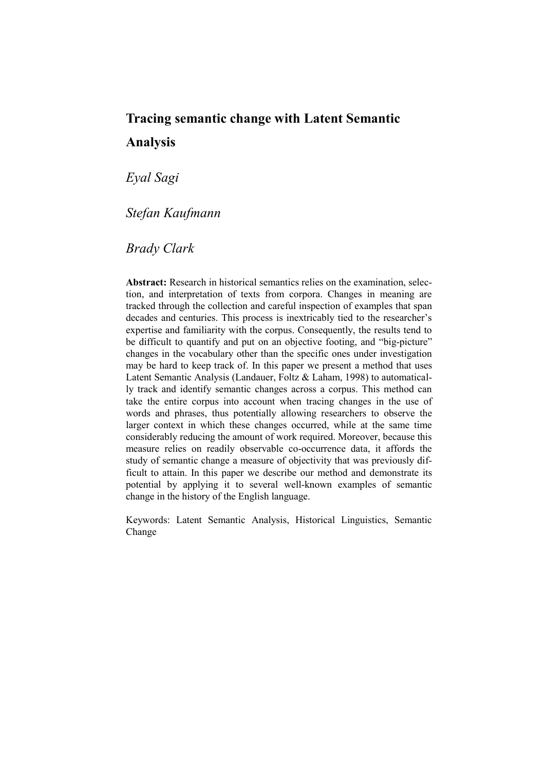*Eyal Sagi*

*Stefan Kaufmann*

*Brady Clark*

**Abstract:** Research in historical semantics relies on the examination, selection, and interpretation of texts from corpora. Changes in meaning are tracked through the collection and careful inspection of examples that span decades and centuries. This process is inextricably tied to the researcher"s expertise and familiarity with the corpus. Consequently, the results tend to be difficult to quantify and put on an objective footing, and "big-picture" changes in the vocabulary other than the specific ones under investigation may be hard to keep track of. In this paper we present a method that uses Latent Semantic Analysis (Landauer, Foltz & Laham, 1998) to automatically track and identify semantic changes across a corpus. This method can take the entire corpus into account when tracing changes in the use of words and phrases, thus potentially allowing researchers to observe the larger context in which these changes occurred, while at the same time considerably reducing the amount of work required. Moreover, because this measure relies on readily observable co-occurrence data, it affords the study of semantic change a measure of objectivity that was previously difficult to attain. In this paper we describe our method and demonstrate its potential by applying it to several well-known examples of semantic change in the history of the English language.

Keywords: Latent Semantic Analysis, Historical Linguistics, Semantic Change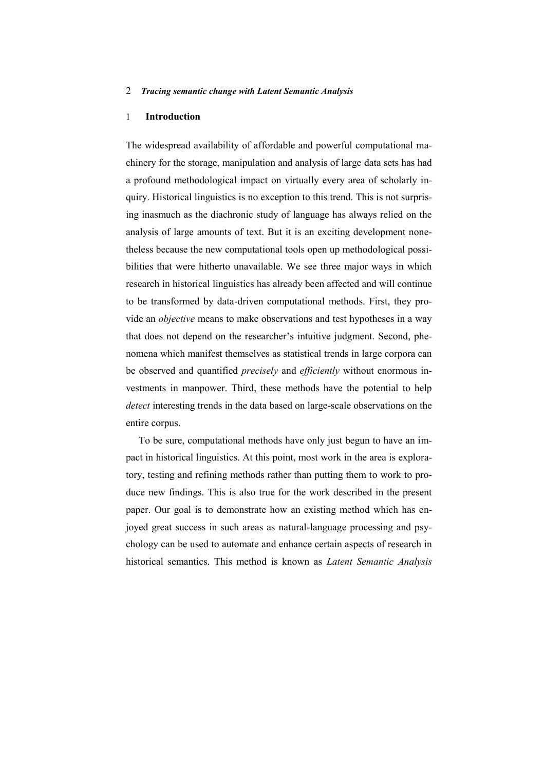# 1 **Introduction**

The widespread availability of affordable and powerful computational machinery for the storage, manipulation and analysis of large data sets has had a profound methodological impact on virtually every area of scholarly inquiry. Historical linguistics is no exception to this trend. This is not surprising inasmuch as the diachronic study of language has always relied on the analysis of large amounts of text. But it is an exciting development nonetheless because the new computational tools open up methodological possibilities that were hitherto unavailable. We see three major ways in which research in historical linguistics has already been affected and will continue to be transformed by data-driven computational methods. First, they provide an *objective* means to make observations and test hypotheses in a way that does not depend on the researcher"s intuitive judgment. Second, phenomena which manifest themselves as statistical trends in large corpora can be observed and quantified *precisely* and *efficiently* without enormous investments in manpower. Third, these methods have the potential to help *detect* interesting trends in the data based on large-scale observations on the entire corpus.

To be sure, computational methods have only just begun to have an impact in historical linguistics. At this point, most work in the area is exploratory, testing and refining methods rather than putting them to work to produce new findings. This is also true for the work described in the present paper. Our goal is to demonstrate how an existing method which has enjoyed great success in such areas as natural-language processing and psychology can be used to automate and enhance certain aspects of research in historical semantics. This method is known as *Latent Semantic Analysis*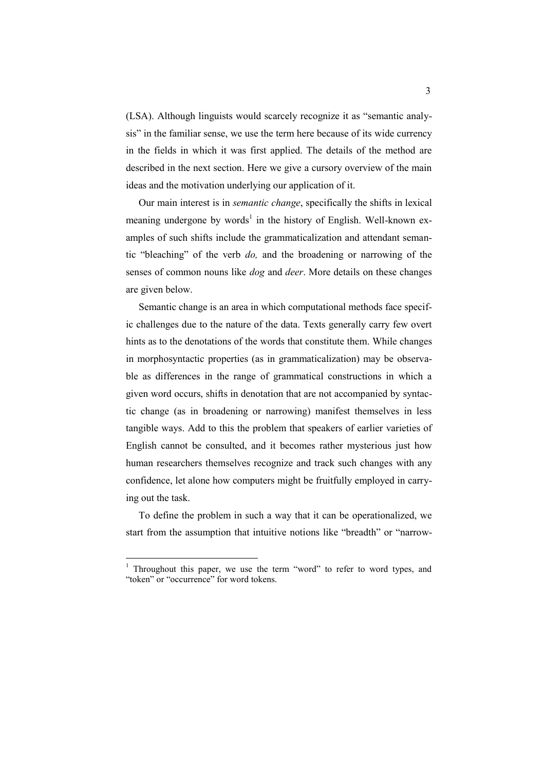(LSA). Although linguists would scarcely recognize it as "semantic analysis" in the familiar sense, we use the term here because of its wide currency in the fields in which it was first applied. The details of the method are described in the next section. Here we give a cursory overview of the main ideas and the motivation underlying our application of it.

Our main interest is in *semantic change*, specifically the shifts in lexical meaning undergone by words<sup>1</sup> in the history of English. Well-known examples of such shifts include the grammaticalization and attendant semantic "bleaching" of the verb *do,* and the broadening or narrowing of the senses of common nouns like *dog* and *deer*. More details on these changes are given below.

Semantic change is an area in which computational methods face specific challenges due to the nature of the data. Texts generally carry few overt hints as to the denotations of the words that constitute them. While changes in morphosyntactic properties (as in grammaticalization) may be observable as differences in the range of grammatical constructions in which a given word occurs, shifts in denotation that are not accompanied by syntactic change (as in broadening or narrowing) manifest themselves in less tangible ways. Add to this the problem that speakers of earlier varieties of English cannot be consulted, and it becomes rather mysterious just how human researchers themselves recognize and track such changes with any confidence, let alone how computers might be fruitfully employed in carrying out the task.

To define the problem in such a way that it can be operationalized, we start from the assumption that intuitive notions like "breadth" or "narrow-

<u>.</u>

<sup>&</sup>lt;sup>1</sup> Throughout this paper, we use the term "word" to refer to word types, and "token" or "occurrence" for word tokens.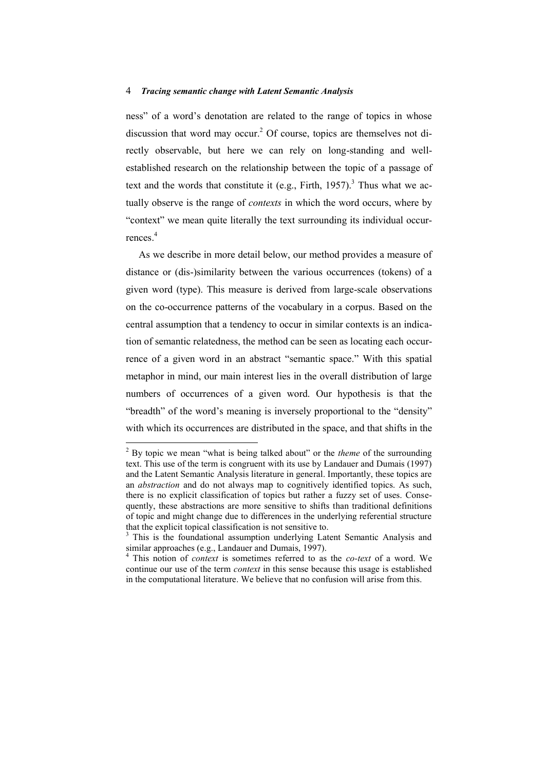ness" of a word"s denotation are related to the range of topics in whose discussion that word may occur.<sup>2</sup> Of course, topics are themselves not directly observable, but here we can rely on long-standing and wellestablished research on the relationship between the topic of a passage of text and the words that constitute it (e.g., Firth,  $1957$ ).<sup>3</sup> Thus what we actually observe is the range of *contexts* in which the word occurs, where by "context" we mean quite literally the text surrounding its individual occurrences. 4

As we describe in more detail below, our method provides a measure of distance or (dis-)similarity between the various occurrences (tokens) of a given word (type). This measure is derived from large-scale observations on the co-occurrence patterns of the vocabulary in a corpus. Based on the central assumption that a tendency to occur in similar contexts is an indication of semantic relatedness, the method can be seen as locating each occurrence of a given word in an abstract "semantic space." With this spatial metaphor in mind, our main interest lies in the overall distribution of large numbers of occurrences of a given word. Our hypothesis is that the "breadth" of the word"s meaning is inversely proportional to the "density" with which its occurrences are distributed in the space, and that shifts in the

-

<sup>&</sup>lt;sup>2</sup> By topic we mean "what is being talked about" or the *theme* of the surrounding text. This use of the term is congruent with its use by Landauer and Dumais (1997) and the Latent Semantic Analysis literature in general. Importantly, these topics are an *abstraction* and do not always map to cognitively identified topics. As such, there is no explicit classification of topics but rather a fuzzy set of uses. Consequently, these abstractions are more sensitive to shifts than traditional definitions of topic and might change due to differences in the underlying referential structure that the explicit topical classification is not sensitive to.

<sup>&</sup>lt;sup>3</sup> This is the foundational assumption underlying Latent Semantic Analysis and similar approaches (e.g., Landauer and Dumais, 1997).

<sup>4</sup> This notion of *context* is sometimes referred to as the *co-text* of a word. We continue our use of the term *context* in this sense because this usage is established in the computational literature. We believe that no confusion will arise from this.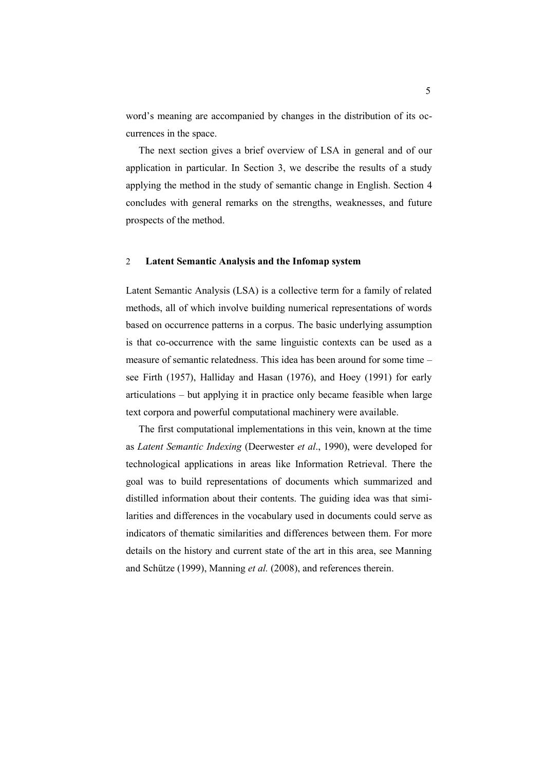word"s meaning are accompanied by changes in the distribution of its occurrences in the space.

The next section gives a brief overview of LSA in general and of our application in particular. In Section [3,](#page-13-0) we describe the results of a study applying the method in the study of semantic change in English. Section [4](#page-23-0) concludes with general remarks on the strengths, weaknesses, and future prospects of the method.

## 2 **Latent Semantic Analysis and the Infomap system**

Latent Semantic Analysis (LSA) is a collective term for a family of related methods, all of which involve building numerical representations of words based on occurrence patterns in a corpus. The basic underlying assumption is that co-occurrence with the same linguistic contexts can be used as a measure of semantic relatedness. This idea has been around for some time – see Firth (1957), Halliday and Hasan (1976), and Hoey (1991) for early articulations – but applying it in practice only became feasible when large text corpora and powerful computational machinery were available.

The first computational implementations in this vein, known at the time as *Latent Semantic Indexing* (Deerwester *et al*., 1990), were developed for technological applications in areas like Information Retrieval. There the goal was to build representations of documents which summarized and distilled information about their contents. The guiding idea was that similarities and differences in the vocabulary used in documents could serve as indicators of thematic similarities and differences between them. For more details on the history and current state of the art in this area, see Manning and Schütze (1999), Manning *et al.* (2008), and references therein.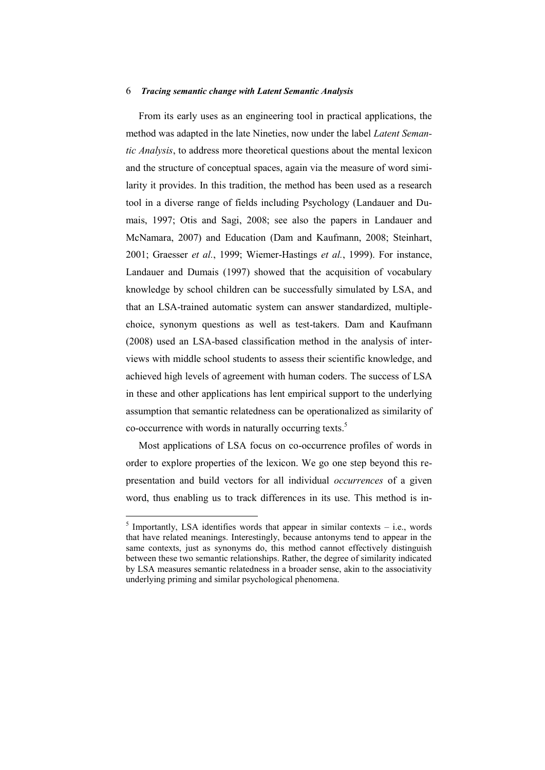From its early uses as an engineering tool in practical applications, the method was adapted in the late Nineties, now under the label *Latent Semantic Analysis*, to address more theoretical questions about the mental lexicon and the structure of conceptual spaces, again via the measure of word similarity it provides. In this tradition, the method has been used as a research tool in a diverse range of fields including Psychology (Landauer and Dumais, 1997; Otis and Sagi, 2008; see also the papers in Landauer and McNamara, 2007) and Education (Dam and Kaufmann, 2008; Steinhart, 2001; Graesser *et al.*, 1999; Wiemer-Hastings *et al.*, 1999). For instance, Landauer and Dumais (1997) showed that the acquisition of vocabulary knowledge by school children can be successfully simulated by LSA, and that an LSA-trained automatic system can answer standardized, multiplechoice, synonym questions as well as test-takers. Dam and Kaufmann (2008) used an LSA-based classification method in the analysis of interviews with middle school students to assess their scientific knowledge, and achieved high levels of agreement with human coders. The success of LSA in these and other applications has lent empirical support to the underlying assumption that semantic relatedness can be operationalized as similarity of co-occurrence with words in naturally occurring texts.<sup>5</sup>

Most applications of LSA focus on co-occurrence profiles of words in order to explore properties of the lexicon. We go one step beyond this representation and build vectors for all individual *occurrences* of a given word, thus enabling us to track differences in its use. This method is in-

<u>.</u>

<sup>&</sup>lt;sup>5</sup> Importantly, LSA identifies words that appear in similar contexts  $-$  i.e., words that have related meanings. Interestingly, because antonyms tend to appear in the same contexts, just as synonyms do, this method cannot effectively distinguish between these two semantic relationships. Rather, the degree of similarity indicated by LSA measures semantic relatedness in a broader sense, akin to the associativity underlying priming and similar psychological phenomena.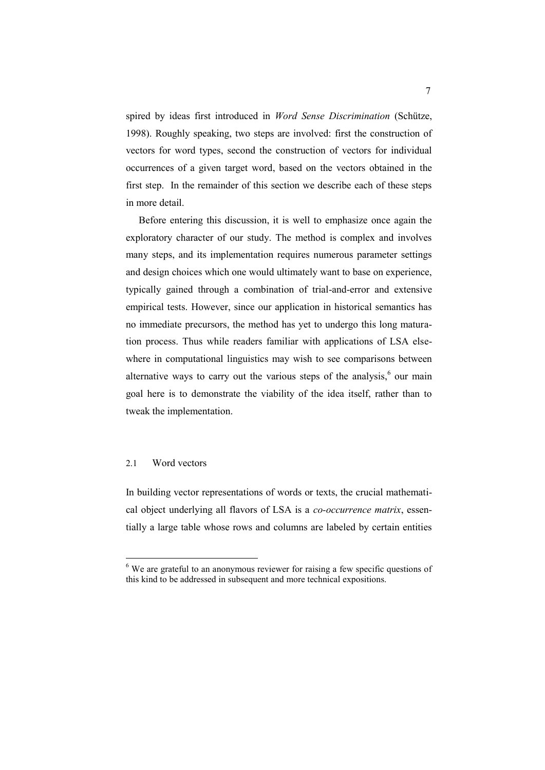spired by ideas first introduced in *Word Sense Discrimination* (Schütze, 1998). Roughly speaking, two steps are involved: first the construction of vectors for word types, second the construction of vectors for individual occurrences of a given target word, based on the vectors obtained in the first step. In the remainder of this section we describe each of these steps in more detail.

Before entering this discussion, it is well to emphasize once again the exploratory character of our study. The method is complex and involves many steps, and its implementation requires numerous parameter settings and design choices which one would ultimately want to base on experience, typically gained through a combination of trial-and-error and extensive empirical tests. However, since our application in historical semantics has no immediate precursors, the method has yet to undergo this long maturation process. Thus while readers familiar with applications of LSA elsewhere in computational linguistics may wish to see comparisons between alternative ways to carry out the various steps of the analysis, $6$  our main goal here is to demonstrate the viability of the idea itself, rather than to tweak the implementation.

## 2.1 Word vectors

<u>.</u>

In building vector representations of words or texts, the crucial mathematical object underlying all flavors of LSA is a *co-occurrence matrix*, essentially a large table whose rows and columns are labeled by certain entities

<sup>&</sup>lt;sup>6</sup> We are grateful to an anonymous reviewer for raising a few specific questions of this kind to be addressed in subsequent and more technical expositions.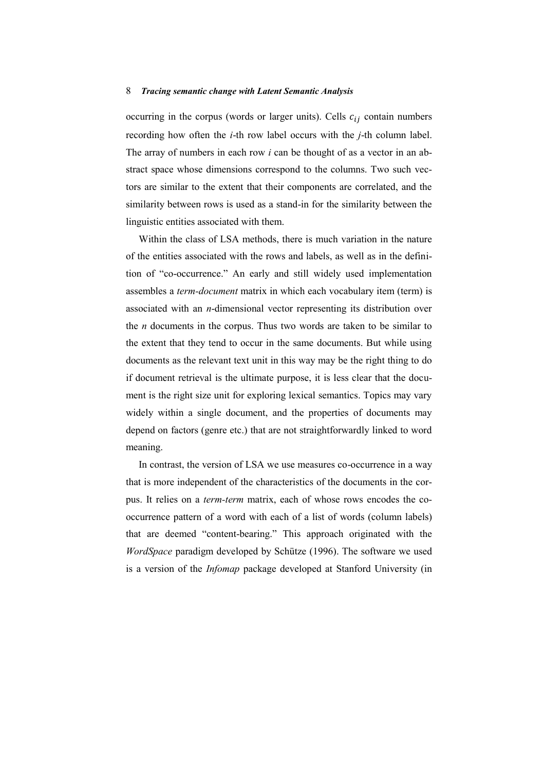occurring in the corpus (words or larger units). Cells  $c_{ij}$  contain numbers recording how often the *i*-th row label occurs with the *j*-th column label. The array of numbers in each row *i* can be thought of as a vector in an abstract space whose dimensions correspond to the columns. Two such vectors are similar to the extent that their components are correlated, and the similarity between rows is used as a stand-in for the similarity between the linguistic entities associated with them.

Within the class of LSA methods, there is much variation in the nature of the entities associated with the rows and labels, as well as in the definition of "co-occurrence." An early and still widely used implementation assembles a *term-document* matrix in which each vocabulary item (term) is associated with an *n*-dimensional vector representing its distribution over the *n* documents in the corpus. Thus two words are taken to be similar to the extent that they tend to occur in the same documents. But while using documents as the relevant text unit in this way may be the right thing to do if document retrieval is the ultimate purpose, it is less clear that the document is the right size unit for exploring lexical semantics. Topics may vary widely within a single document, and the properties of documents may depend on factors (genre etc.) that are not straightforwardly linked to word meaning.

In contrast, the version of LSA we use measures co-occurrence in a way that is more independent of the characteristics of the documents in the corpus. It relies on a *term-term* matrix, each of whose rows encodes the cooccurrence pattern of a word with each of a list of words (column labels) that are deemed "content-bearing." This approach originated with the *WordSpace* paradigm developed by Schütze (1996). The software we used is a version of the *Infomap* package developed at Stanford University (in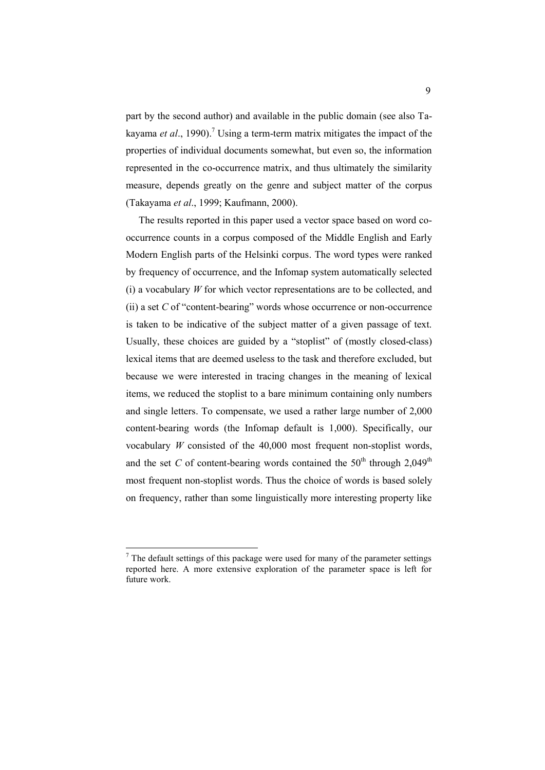part by the second author) and available in the public domain (see also Takayama *et al.*, 1990).<sup>7</sup> Using a term-term matrix mitigates the impact of the properties of individual documents somewhat, but even so, the information represented in the co-occurrence matrix, and thus ultimately the similarity measure, depends greatly on the genre and subject matter of the corpus (Takayama *et al*., 1999; Kaufmann, 2000).

The results reported in this paper used a vector space based on word cooccurrence counts in a corpus composed of the Middle English and Early Modern English parts of the Helsinki corpus. The word types were ranked by frequency of occurrence, and the Infomap system automatically selected (i) a vocabulary *W* for which vector representations are to be collected, and (ii) a set *C* of "content-bearing" words whose occurrence or non-occurrence is taken to be indicative of the subject matter of a given passage of text. Usually, these choices are guided by a "stoplist" of (mostly closed-class) lexical items that are deemed useless to the task and therefore excluded, but because we were interested in tracing changes in the meaning of lexical items, we reduced the stoplist to a bare minimum containing only numbers and single letters. To compensate, we used a rather large number of 2,000 content-bearing words (the Infomap default is 1,000). Specifically, our vocabulary *W* consisted of the 40,000 most frequent non-stoplist words, and the set *C* of content-bearing words contained the  $50<sup>th</sup>$  through  $2,049<sup>th</sup>$ most frequent non-stoplist words. Thus the choice of words is based solely on frequency, rather than some linguistically more interesting property like

<u>.</u>

 $<sup>7</sup>$  The default settings of this package were used for many of the parameter settings</sup> reported here. A more extensive exploration of the parameter space is left for future work.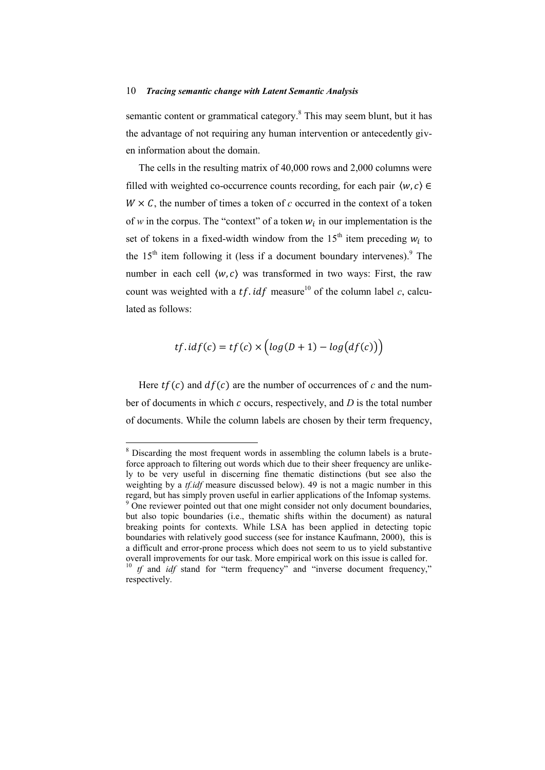semantic content or grammatical category.<sup>8</sup> This may seem blunt, but it has the advantage of not requiring any human intervention or antecedently given information about the domain.

The cells in the resulting matrix of 40,000 rows and 2,000 columns were filled with weighted co-occurrence counts recording, for each pair  $\langle w, c \rangle \in$  $W \times C$ , the number of times a token of *c* occurred in the context of a token of  $w$  in the corpus. The "context" of a token  $w_i$  in our implementation is the set of tokens in a fixed-width window from the 15<sup>th</sup> item preceding  $w_i$  to the  $15<sup>th</sup>$  item following it (less if a document boundary intervenes).<sup>9</sup> The number in each cell  $\langle w, c \rangle$  was transformed in two ways: First, the raw count was weighted with a  $tf$  idf measure<sup>10</sup> of the column label *c*, calculated as follows:

$$
tf.id f(c) = tf(c) \times \left(log(D + 1) - log(df(c))\right)
$$

Here  $tf(c)$  and  $df(c)$  are the number of occurrences of *c* and the number of documents in which  $c$  occurs, respectively, and  $D$  is the total number of documents. While the column labels are chosen by their term frequency,

-

<sup>&</sup>lt;sup>8</sup> Discarding the most frequent words in assembling the column labels is a bruteforce approach to filtering out words which due to their sheer frequency are unlikely to be very useful in discerning fine thematic distinctions (but see also the weighting by a *tf.idf* measure discussed below). 49 is not a magic number in this regard, but has simply proven useful in earlier applications of the Infomap systems. <sup>9</sup> One reviewer pointed out that one might consider not only document boundaries, but also topic boundaries (i.e., thematic shifts within the document) as natural breaking points for contexts. While LSA has been applied in detecting topic boundaries with relatively good success (see for instance Kaufmann, 2000), this is a difficult and error-prone process which does not seem to us to yield substantive overall improvements for our task. More empirical work on this issue is called for. <sup>10</sup> *tf* and *idf* stand for "term frequency" and "inverse document frequency," respectively.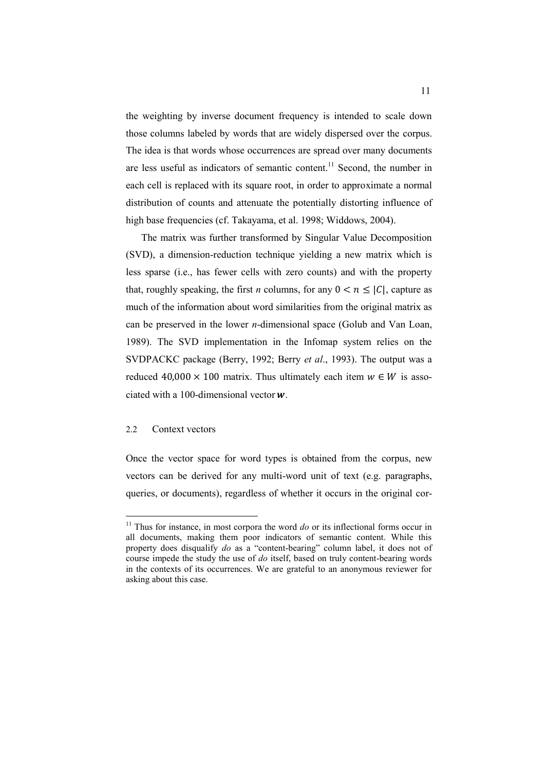the weighting by inverse document frequency is intended to scale down those columns labeled by words that are widely dispersed over the corpus. The idea is that words whose occurrences are spread over many documents are less useful as indicators of semantic content.<sup>11</sup> Second, the number in each cell is replaced with its square root, in order to approximate a normal distribution of counts and attenuate the potentially distorting influence of high base frequencies (cf. Takayama, et al. 1998; Widdows, 2004).

The matrix was further transformed by Singular Value Decomposition (SVD), a dimension-reduction technique yielding a new matrix which is less sparse (i.e., has fewer cells with zero counts) and with the property that, roughly speaking, the first *n* columns, for any  $0 < n \leq |C|$ , capture as much of the information about word similarities from the original matrix as can be preserved in the lower *n*-dimensional space (Golub and Van Loan, 1989). The SVD implementation in the Infomap system relies on the SVDPACKC package (Berry, 1992; Berry *et al*., 1993). The output was a reduced  $40,000 \times 100$  matrix. Thus ultimately each item  $w \in W$  is associated with a 100-dimensional vector  $w$ .

# 2.2 Context vectors

<u>.</u>

Once the vector space for word types is obtained from the corpus, new vectors can be derived for any multi-word unit of text (e.g. paragraphs, queries, or documents), regardless of whether it occurs in the original cor-

<sup>&</sup>lt;sup>11</sup> Thus for instance, in most corpora the word  $do$  or its inflectional forms occur in all documents, making them poor indicators of semantic content. While this property does disqualify *do* as a "content-bearing" column label, it does not of course impede the study the use of *do* itself, based on truly content-bearing words in the contexts of its occurrences. We are grateful to an anonymous reviewer for asking about this case.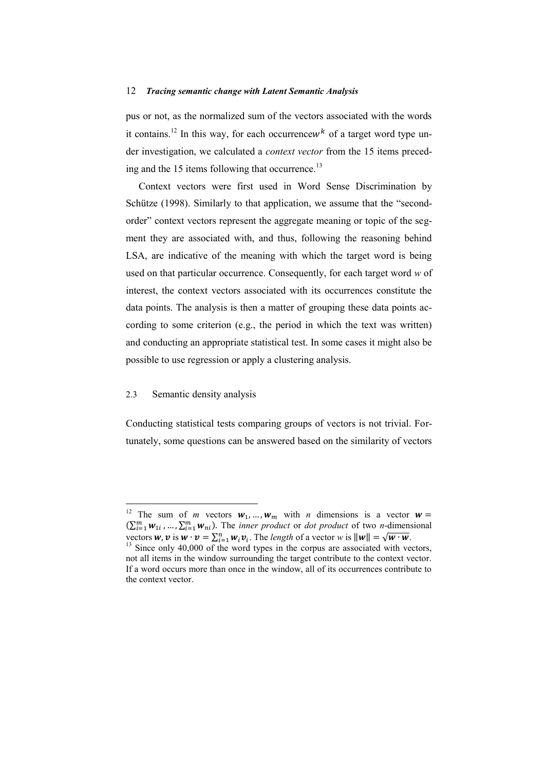pus or not, as the normalized sum of the vectors associated with the words it contains.<sup>12</sup> In this way, for each occurrence w<sup>k</sup> of a target word type under investigation, we calculated a *context vector* from the 15 items preceding and the 15 items following that occurrence.<sup>13</sup>

Context vectors were first used in Word Sense Discrimination by Schütze (1998). Similarly to that application, we assume that the "secondorder" context vectors represent the aggregate meaning or topic of the segment they are associated with, and thus, following the reasoning behind LSA, are indicative of the meaning with which the target word is being used on that particular occurrence. Consequently, for each target word *w* of interest, the context vectors associated with its occurrences constitute the data points. The analysis is then a matter of grouping these data points according to some criterion (e.g., the period in which the text was written) and conducting an appropriate statistical test. In some cases it might also be possible to use regression or apply a clustering analysis.

# <span id="page-11-0"></span>2.3 Semantic density analysis

<u>.</u>

Conducting statistical tests comparing groups of vectors is not trivial. Fortunately, some questions can be answered based on the similarity of vectors

<sup>&</sup>lt;sup>12</sup> The sum of *m* vectors  $w_1, ..., w_m$  with *n* dimensions is a vector  $(\sum_{i=1}^{m} w_{1i}, ..., \sum_{i=1}^{m} w_{ni})$ . The *inner product* or *dot product* of two *n*-dimensional vectors  $w, v$  is  $w \cdot v = \sum_{i=1}^n w_i v_i$ . The *length* of a vector *w* is  $||w|| = \sqrt{w \cdot w}$ .

Since only 40,000 of the word types in the corpus are associated with vectors, not all items in the window surrounding the target contribute to the context vector. If a word occurs more than once in the window, all of its occurrences contribute to the context vector.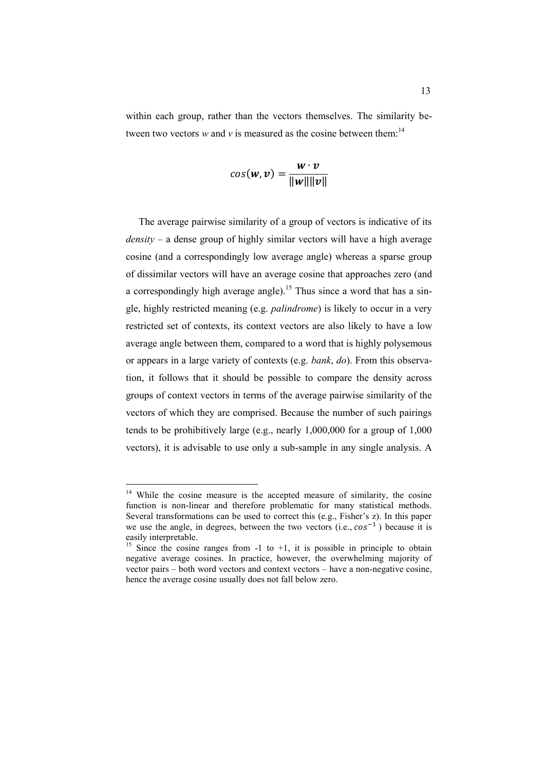within each group, rather than the vectors themselves. The similarity between two vectors  $w$  and  $v$  is measured as the cosine between them:<sup>14</sup>

$$
cos(w,v) = \frac{w \cdot v}{\|w\| \|v\|}
$$

The average pairwise similarity of a group of vectors is indicative of its *density* – a dense group of highly similar vectors will have a high average cosine (and a correspondingly low average angle) whereas a sparse group of dissimilar vectors will have an average cosine that approaches zero (and a correspondingly high average angle).<sup>15</sup> Thus since a word that has a single, highly restricted meaning (e.g. *palindrome*) is likely to occur in a very restricted set of contexts, its context vectors are also likely to have a low average angle between them, compared to a word that is highly polysemous or appears in a large variety of contexts (e.g. *bank*, *do*). From this observation, it follows that it should be possible to compare the density across groups of context vectors in terms of the average pairwise similarity of the vectors of which they are comprised. Because the number of such pairings tends to be prohibitively large (e.g., nearly 1,000,000 for a group of 1,000 vectors), it is advisable to use only a sub-sample in any single analysis. A

<u>.</u>

 $14$  While the cosine measure is the accepted measure of similarity, the cosine function is non-linear and therefore problematic for many statistical methods. Several transformations can be used to correct this (e.g., Fisher's z). In this paper we use the angle, in degrees, between the two vectors  $(i.e., cos<sup>-1</sup>)$  because it is easily interpretable.

<sup>&</sup>lt;sup>15</sup> Since the cosine ranges from  $-1$  to  $+1$ , it is possible in principle to obtain negative average cosines. In practice, however, the overwhelming majority of vector pairs – both word vectors and context vectors – have a non-negative cosine, hence the average cosine usually does not fall below zero.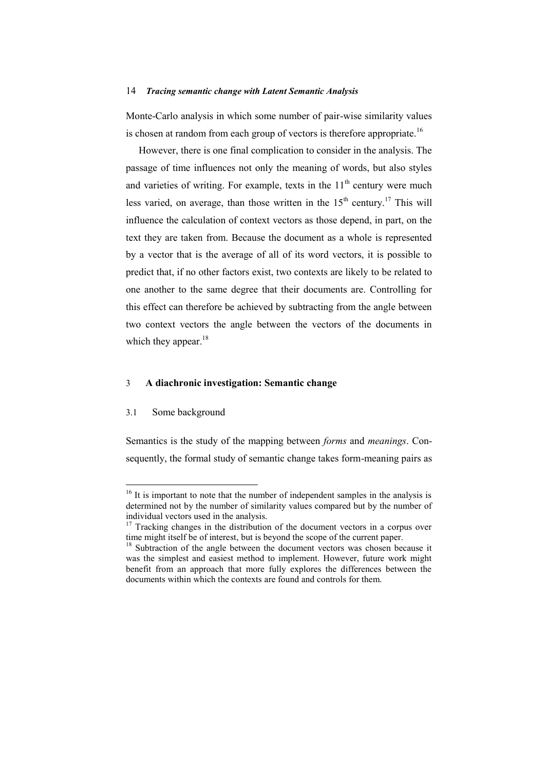Monte-Carlo analysis in which some number of pair-wise similarity values is chosen at random from each group of vectors is therefore appropriate.<sup>16</sup>

However, there is one final complication to consider in the analysis. The passage of time influences not only the meaning of words, but also styles and varieties of writing. For example, texts in the  $11<sup>th</sup>$  century were much less varied, on average, than those written in the  $15<sup>th</sup>$  century.<sup>17</sup> This will influence the calculation of context vectors as those depend, in part, on the text they are taken from. Because the document as a whole is represented by a vector that is the average of all of its word vectors, it is possible to predict that, if no other factors exist, two contexts are likely to be related to one another to the same degree that their documents are. Controlling for this effect can therefore be achieved by subtracting from the angle between two context vectors the angle between the vectors of the documents in which they appear. $18$ 

# <span id="page-13-0"></span>3 **A diachronic investigation: Semantic change**

## 3.1 Some background

<u>.</u>

Semantics is the study of the mapping between *forms* and *meanings*. Consequently, the formal study of semantic change takes form-meaning pairs as

<sup>&</sup>lt;sup>16</sup> It is important to note that the number of independent samples in the analysis is determined not by the number of similarity values compared but by the number of individual vectors used in the analysis.

<sup>&</sup>lt;sup>17</sup> Tracking changes in the distribution of the document vectors in a corpus over time might itself be of interest, but is beyond the scope of the current paper.

<sup>&</sup>lt;sup>18</sup> Subtraction of the angle between the document vectors was chosen because it was the simplest and easiest method to implement. However, future work might benefit from an approach that more fully explores the differences between the documents within which the contexts are found and controls for them.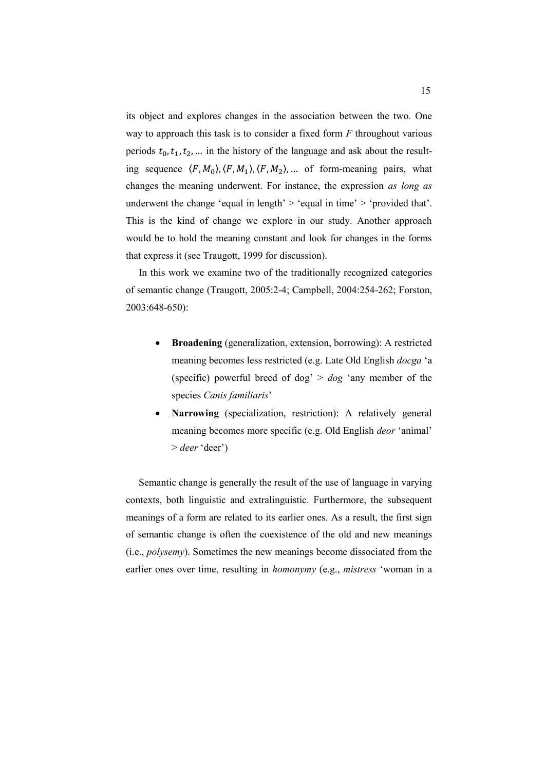its object and explores changes in the association between the two. One way to approach this task is to consider a fixed form *F* throughout various periods  $t_0, t_1, t_2, ...$  in the history of the language and ask about the resulting sequence  $\langle F, M_0 \rangle$ ,  $\langle F, M_1 \rangle$ ,  $\langle F, M_2 \rangle$ , ... of form-meaning pairs, what changes the meaning underwent. For instance, the expression *as long as* underwent the change 'equal in length'  $>$  'equal in time'  $>$  'provided that'. This is the kind of change we explore in our study. Another approach would be to hold the meaning constant and look for changes in the forms that express it (see Traugott, 1999 for discussion).

In this work we examine two of the traditionally recognized categories of semantic change (Traugott, 2005:2-4; Campbell, 2004:254-262; Forston, 2003:648-650):

- **Broadening** (generalization, extension, borrowing): A restricted meaning becomes less restricted (e.g. Late Old English *docga* "a (specific) powerful breed of dog" > *dog* "any member of the species *Canis familiaris*"
- **Narrowing** (specialization, restriction): A relatively general meaning becomes more specific (e.g. Old English *deor* 'animal' > *deer* "deer")

Semantic change is generally the result of the use of language in varying contexts, both linguistic and extralinguistic. Furthermore, the subsequent meanings of a form are related to its earlier ones. As a result, the first sign of semantic change is often the coexistence of the old and new meanings (i.e., *polysemy*). Sometimes the new meanings become dissociated from the earlier ones over time, resulting in *homonymy* (e.g., *mistress* "woman in a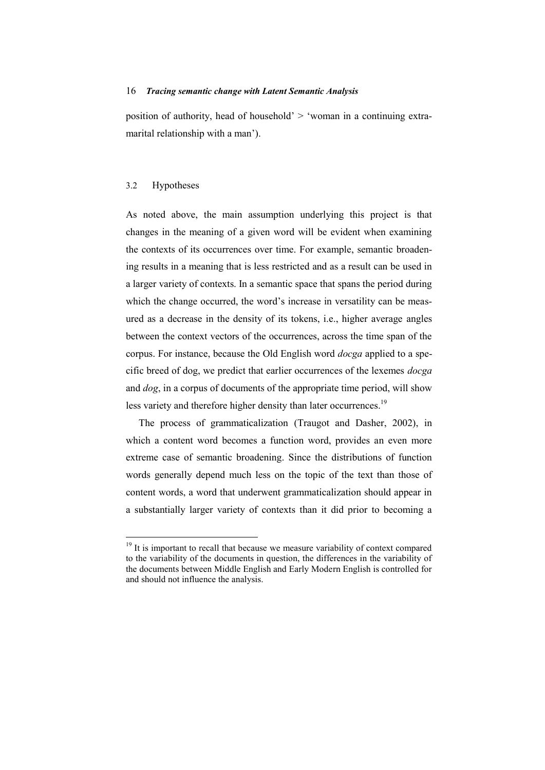position of authority, head of household'  $>$  'woman in a continuing extramarital relationship with a man").

## 3.2 Hypotheses

<u>.</u>

As noted above, the main assumption underlying this project is that changes in the meaning of a given word will be evident when examining the contexts of its occurrences over time. For example, semantic broadening results in a meaning that is less restricted and as a result can be used in a larger variety of contexts. In a semantic space that spans the period during which the change occurred, the word's increase in versatility can be measured as a decrease in the density of its tokens, i.e., higher average angles between the context vectors of the occurrences, across the time span of the corpus. For instance, because the Old English word *docga* applied to a specific breed of dog, we predict that earlier occurrences of the lexemes *docga* and *dog*, in a corpus of documents of the appropriate time period, will show less variety and therefore higher density than later occurrences.<sup>19</sup>

The process of grammaticalization (Traugot and Dasher, 2002), in which a content word becomes a function word, provides an even more extreme case of semantic broadening. Since the distributions of function words generally depend much less on the topic of the text than those of content words, a word that underwent grammaticalization should appear in a substantially larger variety of contexts than it did prior to becoming a

<sup>&</sup>lt;sup>19</sup> It is important to recall that because we measure variability of context compared to the variability of the documents in question, the differences in the variability of the documents between Middle English and Early Modern English is controlled for and should not influence the analysis.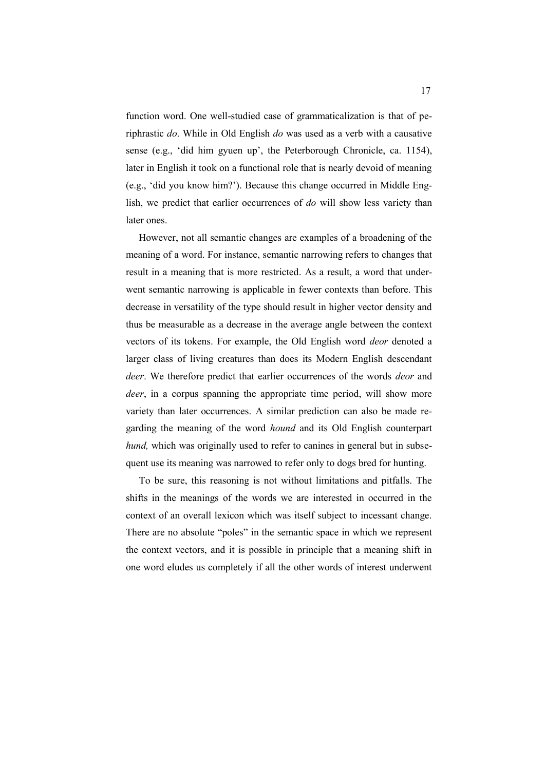function word. One well-studied case of grammaticalization is that of periphrastic *do*. While in Old English *do* was used as a verb with a causative sense (e.g., 'did him gyuen up', the Peterborough Chronicle, ca. 1154), later in English it took on a functional role that is nearly devoid of meaning (e.g., "did you know him?"). Because this change occurred in Middle English, we predict that earlier occurrences of *do* will show less variety than later ones.

However, not all semantic changes are examples of a broadening of the meaning of a word. For instance, semantic narrowing refers to changes that result in a meaning that is more restricted. As a result, a word that underwent semantic narrowing is applicable in fewer contexts than before. This decrease in versatility of the type should result in higher vector density and thus be measurable as a decrease in the average angle between the context vectors of its tokens. For example, the Old English word *deor* denoted a larger class of living creatures than does its Modern English descendant *deer*. We therefore predict that earlier occurrences of the words *deor* and *deer*, in a corpus spanning the appropriate time period, will show more variety than later occurrences. A similar prediction can also be made regarding the meaning of the word *hound* and its Old English counterpart *hund*, which was originally used to refer to canines in general but in subsequent use its meaning was narrowed to refer only to dogs bred for hunting.

To be sure, this reasoning is not without limitations and pitfalls. The shifts in the meanings of the words we are interested in occurred in the context of an overall lexicon which was itself subject to incessant change. There are no absolute "poles" in the semantic space in which we represent the context vectors, and it is possible in principle that a meaning shift in one word eludes us completely if all the other words of interest underwent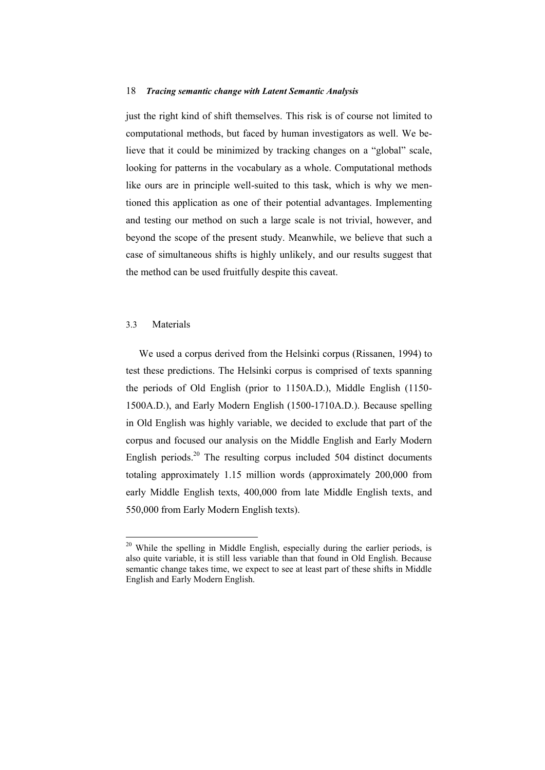just the right kind of shift themselves. This risk is of course not limited to computational methods, but faced by human investigators as well. We believe that it could be minimized by tracking changes on a "global" scale, looking for patterns in the vocabulary as a whole. Computational methods like ours are in principle well-suited to this task, which is why we mentioned this application as one of their potential advantages. Implementing and testing our method on such a large scale is not trivial, however, and beyond the scope of the present study. Meanwhile, we believe that such a case of simultaneous shifts is highly unlikely, and our results suggest that the method can be used fruitfully despite this caveat.

# 3.3 Materials

<u>.</u>

We used a corpus derived from the Helsinki corpus (Rissanen, 1994) to test these predictions. The Helsinki corpus is comprised of texts spanning the periods of Old English (prior to 1150A.D.), Middle English (1150- 1500A.D.), and Early Modern English (1500-1710A.D.). Because spelling in Old English was highly variable, we decided to exclude that part of the corpus and focused our analysis on the Middle English and Early Modern English periods. <sup>20</sup> The resulting corpus included 504 distinct documents totaling approximately 1.15 million words (approximately 200,000 from early Middle English texts, 400,000 from late Middle English texts, and 550,000 from Early Modern English texts).

 $20$  While the spelling in Middle English, especially during the earlier periods, is also quite variable, it is still less variable than that found in Old English. Because semantic change takes time, we expect to see at least part of these shifts in Middle English and Early Modern English.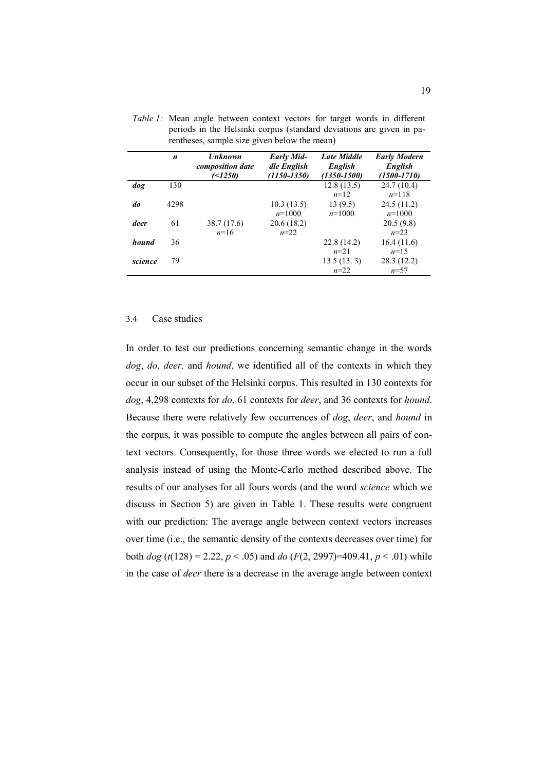|         | n    | Unknown<br>composition date<br>(1250) | <b>Early Mid-</b><br>dle English<br>$(1150 - 1350)$ | <b>Late Middle</b><br>English<br>$(1350 - 1500)$ | <b>Early Modern</b><br>English<br>$(1500 - 1710)$ |
|---------|------|---------------------------------------|-----------------------------------------------------|--------------------------------------------------|---------------------------------------------------|
| dog     | 130  |                                       |                                                     | 12.8(13.5)<br>$n=12$                             | 24.7 (10.4)<br>$n=118$                            |
| do      | 4298 |                                       | 10.3(13.5)<br>$n=1000$                              | 13(9.5)<br>$n=1000$                              | 24.5 (11.2)<br>$n=1000$                           |
| deer    | 61   | 38.7(17.6)<br>$n=16$                  | 20.6(18.2)<br>$n=22$                                |                                                  | 20.5(9.8)<br>$n=23$                               |
| hound   | 36   |                                       |                                                     | 22.8(14.2)<br>$n=21$                             | 16.4(11.6)<br>$n=15$                              |
| science | 79   |                                       |                                                     | 13.5(13.3)<br>$n=22$                             | 28.3 (12.2)<br>$n=57$                             |

*Table 1:* Mean angle between context vectors for target words in different periods in the Helsinki corpus (standard deviations are given in parentheses, sample size given below the mean)

## 3.4 Case studies

In order to test our predictions concerning semantic change in the words *dog*, *do*, *deer,* and *hound*, we identified all of the contexts in which they occur in our subset of the Helsinki corpus. This resulted in 130 contexts for *dog*, 4,298 contexts for *do*, 61 contexts for *deer*, and 36 contexts for *hound*. Because there were relatively few occurrences of *dog*, *deer*, and *hound* in the corpus, it was possible to compute the angles between all pairs of context vectors. Consequently, for those three words we elected to run a full analysis instead of using the Monte-Carlo method described above. The results of our analyses for all fours words (and the word *science* which we discuss in Section [5\)](#page-25-0) are given in Table 1. These results were congruent with our prediction: The average angle between context vectors increases over time (i.e., the semantic density of the contexts decreases over time) for both  $\log(t(128) = 2.22, p < .05)$  and  $\log(F(2, 2997)=409.41, p < .01)$  while in the case of *deer* there is a decrease in the average angle between context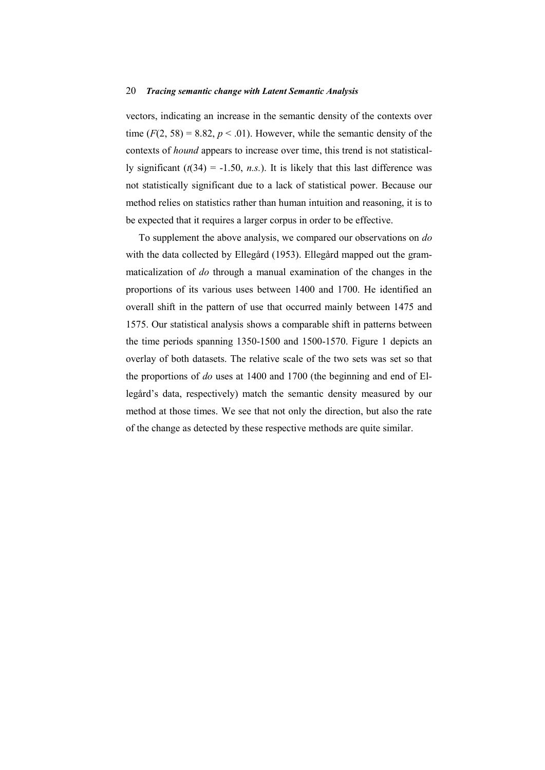vectors, indicating an increase in the semantic density of the contexts over time  $(F(2, 58) = 8.82, p < .01)$ . However, while the semantic density of the contexts of *hound* appears to increase over time, this trend is not statistically significant  $(t(34) = -1.50, n.s.$ ). It is likely that this last difference was not statistically significant due to a lack of statistical power. Because our method relies on statistics rather than human intuition and reasoning, it is to be expected that it requires a larger corpus in order to be effective.

To supplement the above analysis, we compared our observations on *do* with the data collected by Ellegård (1953). Ellegård mapped out the grammaticalization of *do* through a manual examination of the changes in the proportions of its various uses between 1400 and 1700. He identified an overall shift in the pattern of use that occurred mainly between 1475 and 1575. Our statistical analysis shows a comparable shift in patterns between the time periods spanning 1350-1500 and 1500-1570. Figure 1 depicts an overlay of both datasets. The relative scale of the two sets was set so that the proportions of *do* uses at 1400 and 1700 (the beginning and end of Ellegård"s data, respectively) match the semantic density measured by our method at those times. We see that not only the direction, but also the rate of the change as detected by these respective methods are quite similar.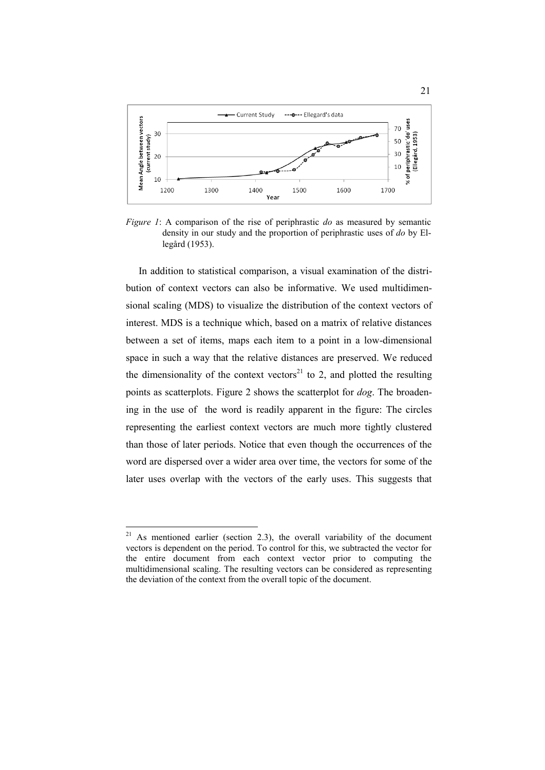

*Figure 1*: A comparison of the rise of periphrastic *do* as measured by semantic density in our study and the proportion of periphrastic uses of *do* by Ellegård (1953).

In addition to statistical comparison, a visual examination of the distribution of context vectors can also be informative. We used multidimensional scaling (MDS) to visualize the distribution of the context vectors of interest. MDS is a technique which, based on a matrix of relative distances between a set of items, maps each item to a point in a low-dimensional space in such a way that the relative distances are preserved. We reduced the dimensionality of the context vectors<sup>21</sup> to 2, and plotted the resulting points as scatterplots. [Figure 2](#page-21-0) shows the scatterplot for *dog*. The broadening in the use of the word is readily apparent in the figure: The circles representing the earliest context vectors are much more tightly clustered than those of later periods. Notice that even though the occurrences of the word are dispersed over a wider area over time, the vectors for some of the later uses overlap with the vectors of the early uses. This suggests that

 $21\,$ As mentioned earlier (section [2.3\)](#page-11-0), the overall variability of the document vectors is dependent on the period. To control for this, we subtracted the vector for the entire document from each context vector prior to computing the multidimensional scaling. The resulting vectors can be considered as representing the deviation of the context from the overall topic of the document.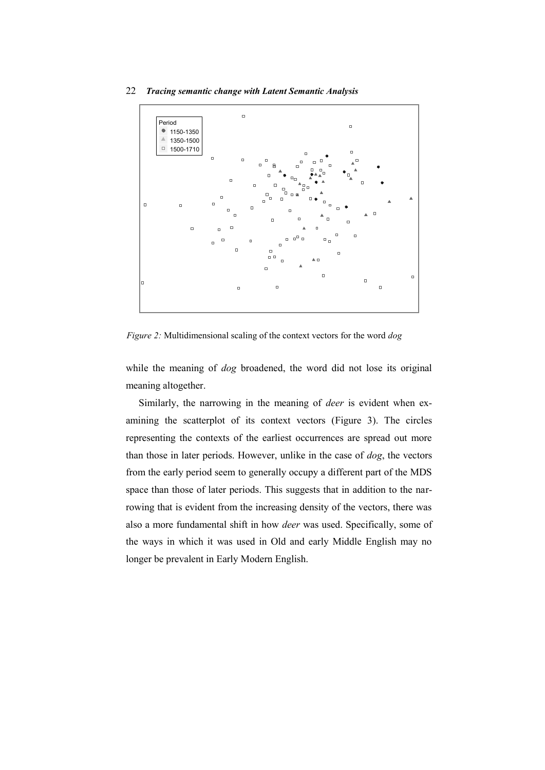

<span id="page-21-0"></span>*Figure 2:* Multidimensional scaling of the context vectors for the word *dog*

while the meaning of *dog* broadened, the word did not lose its original meaning altogether.

Similarly, the narrowing in the meaning of *deer* is evident when examining the scatterplot of its context vectors [\(Figure 3\)](#page-22-0). The circles representing the contexts of the earliest occurrences are spread out more than those in later periods. However, unlike in the case of *dog*, the vectors from the early period seem to generally occupy a different part of the MDS space than those of later periods. This suggests that in addition to the narrowing that is evident from the increasing density of the vectors, there was also a more fundamental shift in how *deer* was used. Specifically, some of the ways in which it was used in Old and early Middle English may no longer be prevalent in Early Modern English.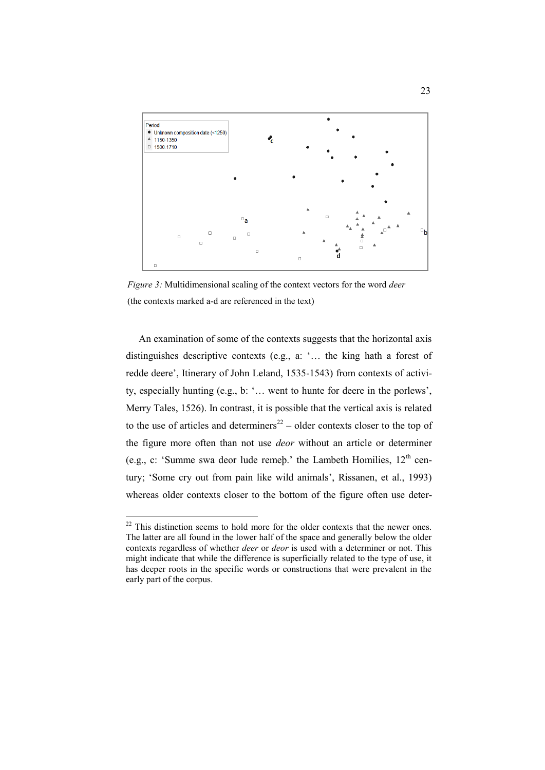

<span id="page-22-0"></span>*Figure 3:* Multidimensional scaling of the context vectors for the word *deer* (the contexts marked a-d are referenced in the text)

An examination of some of the contexts suggests that the horizontal axis distinguishes descriptive contexts (e.g., a: "… the king hath a forest of redde deere', Itinerary of John Leland, 1535-1543) from contexts of activity, especially hunting (e.g., b:  $\cdot \ldots$  went to hunte for deere in the porlews', Merry Tales, 1526). In contrast, it is possible that the vertical axis is related to the use of articles and determiners<sup>22</sup> – older contexts closer to the top of the figure more often than not use *deor* without an article or determiner (e.g., c: 'Summe swa deor lude remeb.' the Lambeth Homilies,  $12<sup>th</sup>$  century; "Some cry out from pain like wild animals", Rissanen, et al., 1993) whereas older contexts closer to the bottom of the figure often use deter-

<u>.</u>

 $2<sup>22</sup>$  This distinction seems to hold more for the older contexts that the newer ones. The latter are all found in the lower half of the space and generally below the older contexts regardless of whether *deer* or *deor* is used with a determiner or not. This might indicate that while the difference is superficially related to the type of use, it has deeper roots in the specific words or constructions that were prevalent in the early part of the corpus.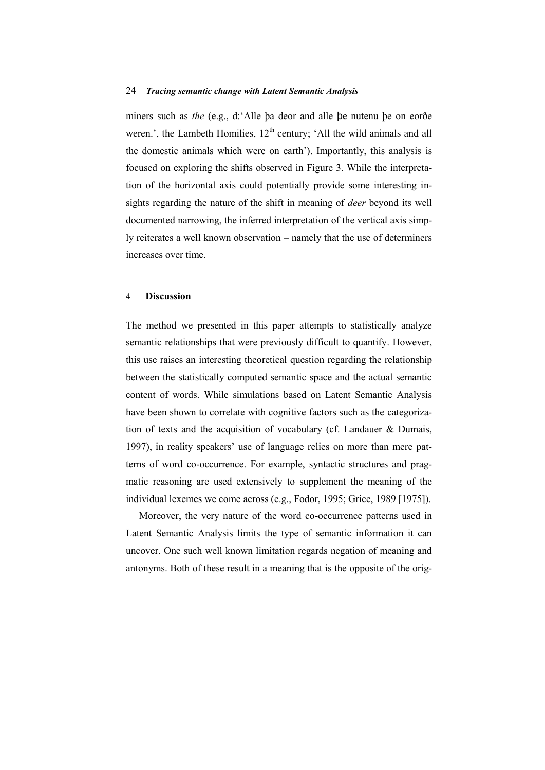miners such as *the* (e.g., d:"Alle þa deor and alle ϸe nutenu þe on eorðe weren.', the Lambeth Homilies,  $12<sup>th</sup>$  century; 'All the wild animals and all the domestic animals which were on earth"). Importantly, this analysis is focused on exploring the shifts observed in Figure 3. While the interpretation of the horizontal axis could potentially provide some interesting insights regarding the nature of the shift in meaning of *deer* beyond its well documented narrowing, the inferred interpretation of the vertical axis simply reiterates a well known observation – namely that the use of determiners increases over time.

# <span id="page-23-0"></span>4 **Discussion**

The method we presented in this paper attempts to statistically analyze semantic relationships that were previously difficult to quantify. However, this use raises an interesting theoretical question regarding the relationship between the statistically computed semantic space and the actual semantic content of words. While simulations based on Latent Semantic Analysis have been shown to correlate with cognitive factors such as the categorization of texts and the acquisition of vocabulary (cf. Landauer & Dumais, 1997), in reality speakers' use of language relies on more than mere patterns of word co-occurrence. For example, syntactic structures and pragmatic reasoning are used extensively to supplement the meaning of the individual lexemes we come across (e.g., Fodor, 1995; Grice, 1989 [1975]).

Moreover, the very nature of the word co-occurrence patterns used in Latent Semantic Analysis limits the type of semantic information it can uncover. One such well known limitation regards negation of meaning and antonyms. Both of these result in a meaning that is the opposite of the orig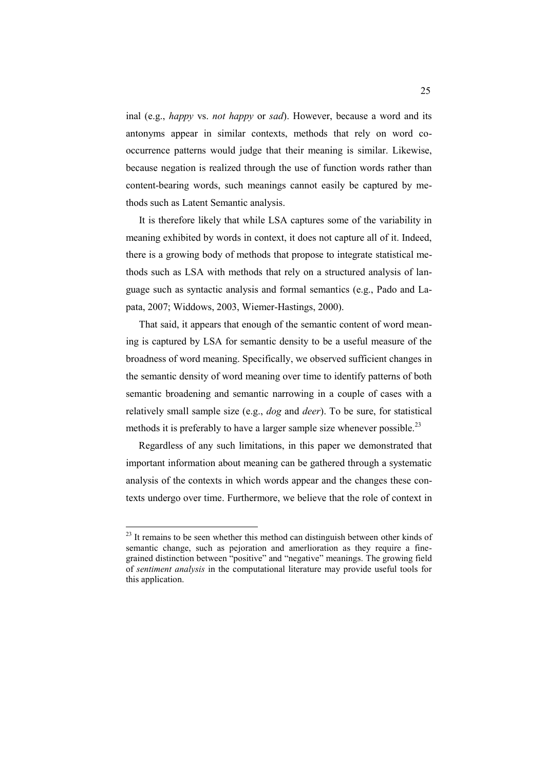inal (e.g., *happy* vs. *not happy* or *sad*). However, because a word and its antonyms appear in similar contexts, methods that rely on word cooccurrence patterns would judge that their meaning is similar. Likewise, because negation is realized through the use of function words rather than content-bearing words, such meanings cannot easily be captured by methods such as Latent Semantic analysis.

It is therefore likely that while LSA captures some of the variability in meaning exhibited by words in context, it does not capture all of it. Indeed, there is a growing body of methods that propose to integrate statistical methods such as LSA with methods that rely on a structured analysis of language such as syntactic analysis and formal semantics (e.g., Pado and Lapata, 2007; Widdows, 2003, Wiemer-Hastings, 2000).

That said, it appears that enough of the semantic content of word meaning is captured by LSA for semantic density to be a useful measure of the broadness of word meaning. Specifically, we observed sufficient changes in the semantic density of word meaning over time to identify patterns of both semantic broadening and semantic narrowing in a couple of cases with a relatively small sample size (e.g., *dog* and *deer*). To be sure, for statistical methods it is preferably to have a larger sample size whenever possible.<sup>23</sup>

Regardless of any such limitations, in this paper we demonstrated that important information about meaning can be gathered through a systematic analysis of the contexts in which words appear and the changes these contexts undergo over time. Furthermore, we believe that the role of context in

-

 $23$  It remains to be seen whether this method can distinguish between other kinds of semantic change, such as pejoration and amerlioration as they require a finegrained distinction between "positive" and "negative" meanings. The growing field of *sentiment analysis* in the computational literature may provide useful tools for this application.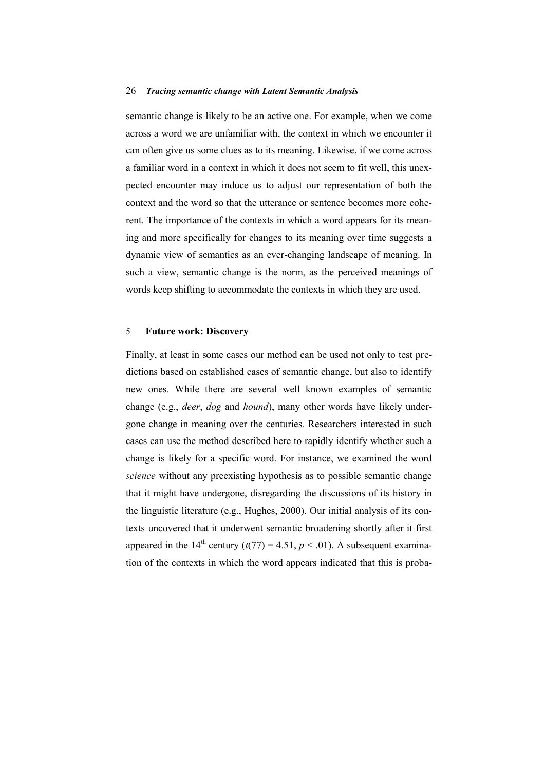semantic change is likely to be an active one. For example, when we come across a word we are unfamiliar with, the context in which we encounter it can often give us some clues as to its meaning. Likewise, if we come across a familiar word in a context in which it does not seem to fit well, this unexpected encounter may induce us to adjust our representation of both the context and the word so that the utterance or sentence becomes more coherent. The importance of the contexts in which a word appears for its meaning and more specifically for changes to its meaning over time suggests a dynamic view of semantics as an ever-changing landscape of meaning. In such a view, semantic change is the norm, as the perceived meanings of words keep shifting to accommodate the contexts in which they are used.

## <span id="page-25-0"></span>5 **Future work: Discovery**

Finally, at least in some cases our method can be used not only to test predictions based on established cases of semantic change, but also to identify new ones. While there are several well known examples of semantic change (e.g., *deer*, *dog* and *hound*), many other words have likely undergone change in meaning over the centuries. Researchers interested in such cases can use the method described here to rapidly identify whether such a change is likely for a specific word. For instance, we examined the word *science* without any preexisting hypothesis as to possible semantic change that it might have undergone, disregarding the discussions of its history in the linguistic literature (e.g., Hughes, 2000). Our initial analysis of its contexts uncovered that it underwent semantic broadening shortly after it first appeared in the 14<sup>th</sup> century ( $t(77) = 4.51$ ,  $p < .01$ ). A subsequent examination of the contexts in which the word appears indicated that this is proba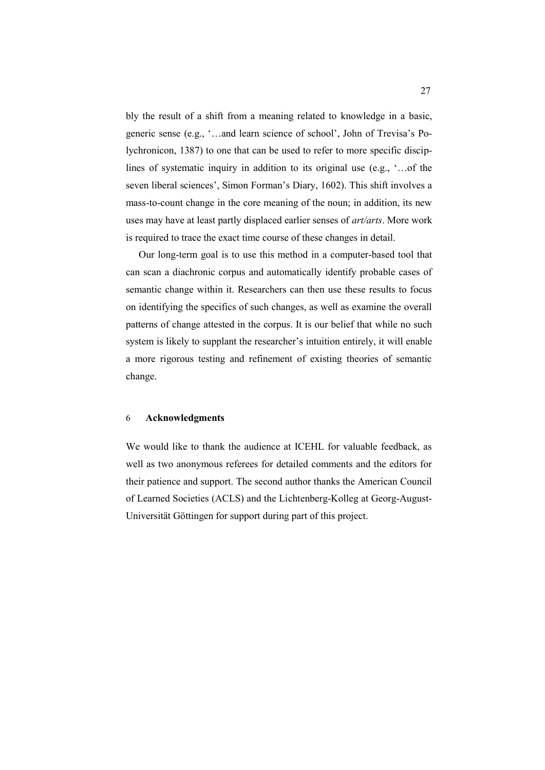bly the result of a shift from a meaning related to knowledge in a basic, generic sense (e.g., '...and learn science of school', John of Trevisa's Polychronicon, 1387) to one that can be used to refer to more specific disciplines of systematic inquiry in addition to its original use (e.g., "…of the seven liberal sciences', Simon Forman's Diary, 1602). This shift involves a mass-to-count change in the core meaning of the noun; in addition, its new uses may have at least partly displaced earlier senses of *art/arts*. More work is required to trace the exact time course of these changes in detail.

Our long-term goal is to use this method in a computer-based tool that can scan a diachronic corpus and automatically identify probable cases of semantic change within it. Researchers can then use these results to focus on identifying the specifics of such changes, as well as examine the overall patterns of change attested in the corpus. It is our belief that while no such system is likely to supplant the researcher's intuition entirely, it will enable a more rigorous testing and refinement of existing theories of semantic change.

# 6 **Acknowledgments**

We would like to thank the audience at ICEHL for valuable feedback, as well as two anonymous referees for detailed comments and the editors for their patience and support. The second author thanks the American Council of Learned Societies (ACLS) and the Lichtenberg-Kolleg at Georg-August-Universität Göttingen for support during part of this project.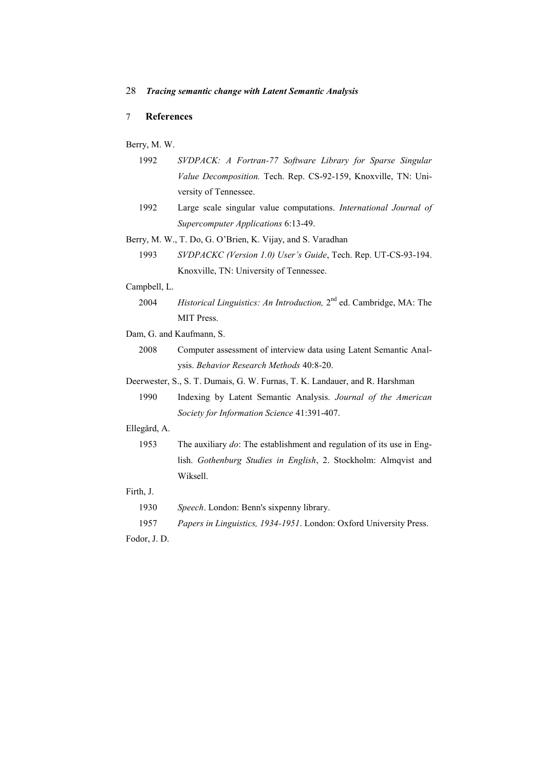# 7 **References**

# Berry, M. W.

- 1992 *SVDPACK: A Fortran-77 Software Library for Sparse Singular Value Decomposition.* Tech. Rep. CS-92-159, Knoxville, TN: University of Tennessee.
- 1992 Large scale singular value computations. *International Journal of Supercomputer Applications* 6:13-49.
- Berry, M. W., T. Do, G. O"Brien, K. Vijay, and S. Varadhan
	- 1993 *SVDPACKC (Version 1.0) User's Guide*, Tech. Rep. UT-CS-93-194. Knoxville, TN: University of Tennessee.

# Campbell, L.

- 2004 *Historical Linguistics: An Introduction*, 2<sup>nd</sup> ed. Cambridge, MA: The MIT Press.
- Dam, G. and Kaufmann, S.
	- 2008 Computer assessment of interview data using Latent Semantic Analysis. *Behavior Research Methods* 40:8-20.
- Deerwester, S., S. T. Dumais, G. W. Furnas, T. K. Landauer, and R. Harshman 1990 Indexing by Latent Semantic Analysis. *Journal of the American Society for Information Science* 41:391-407.

## Ellegård, A.

1953 The auxiliary *do*: The establishment and regulation of its use in English. *Gothenburg Studies in English*, 2. Stockholm: Almqvist and Wiksell.

## Firth, J.

- 1930 *Speech*. London: Benn's sixpenny library.
- 1957 *Papers in Linguistics, 1934-1951*. London: Oxford University Press.
- Fodor, J. D.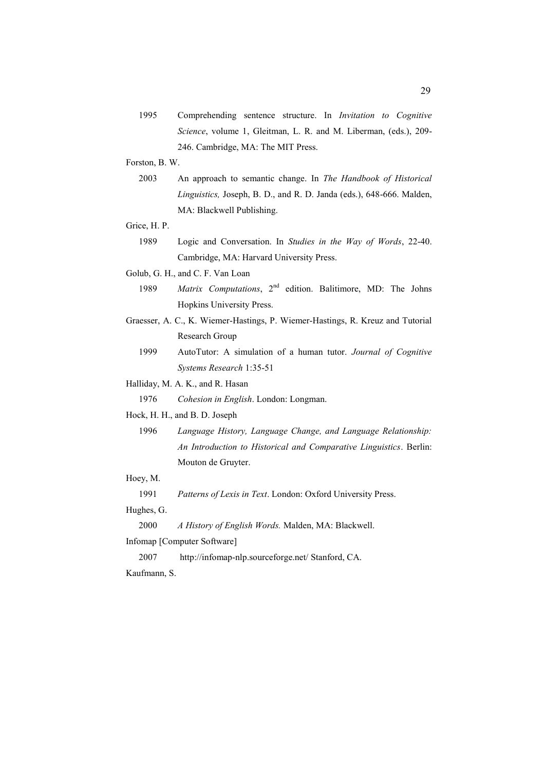- 1995 Comprehending sentence structure. In *Invitation to Cognitive Science*, volume 1, Gleitman, L. R. and M. Liberman, (eds.), 209- 246. Cambridge, MA: The MIT Press.
- Forston, B. W.
	- 2003 An approach to semantic change. In *The Handbook of Historical Linguistics,* Joseph, B. D., and R. D. Janda (eds.), 648-666. Malden, MA: Blackwell Publishing.
- Grice, H. P.
	- 1989 Logic and Conversation. In *Studies in the Way of Words*, 22-40. Cambridge, MA: Harvard University Press.
- Golub, G. H., and C. F. Van Loan
	- 1989 *Matrix Computations*, 2nd edition. Balitimore, MD: The Johns Hopkins University Press.
- Graesser, A. C., K. Wiemer-Hastings, P. Wiemer-Hastings, R. Kreuz and Tutorial Research Group
	- 1999 AutoTutor: A simulation of a human tutor. *Journal of Cognitive Systems Research* 1:35-51

Halliday, M. A. K., and R. Hasan

1976 *Cohesion in English*. London: Longman.

Hock, H. H., and B. D. Joseph

1996 *Language History, Language Change, and Language Relationship: An Introduction to Historical and Comparative Linguistics*. Berlin: Mouton de Gruyter.

Hoey, M.

1991 *Patterns of Lexis in Text*. London: Oxford University Press.

Hughes, G.

2000 *A History of English Words.* Malden, MA: Blackwell.

Infomap [Computer Software]

2007 http://infomap-nlp.sourceforge.net/ Stanford, CA. Kaufmann, S.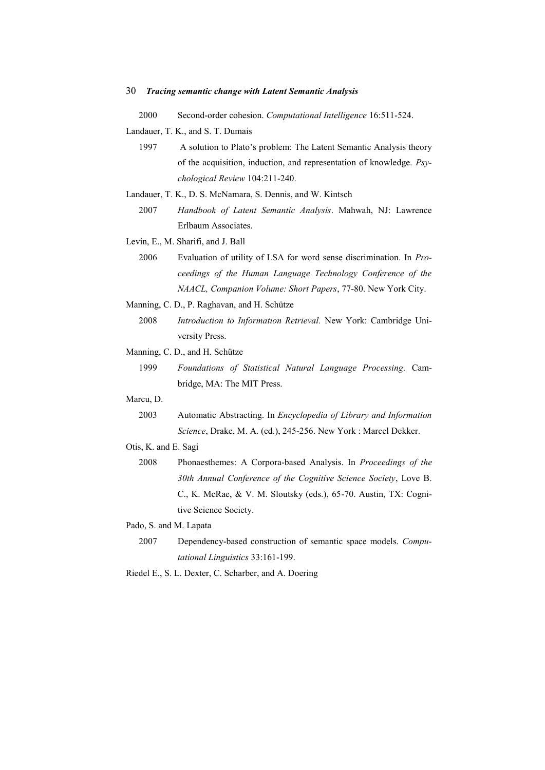2000 Second-order cohesion. *Computational Intelligence* 16:511-524.

Landauer, T. K., and S. T. Dumais

- 1997 A solution to Plato"s problem: The Latent Semantic Analysis theory of the acquisition, induction, and representation of knowledge. *Psychological Review* 104:211-240.
- Landauer, T. K., D. S. McNamara, S. Dennis, and W. Kintsch
	- 2007 *Handbook of Latent Semantic Analysis*. Mahwah, NJ: Lawrence Erlbaum Associates.
- Levin, E., M. Sharifi, and J. Ball
	- 2006 Evaluation of utility of LSA for word sense discrimination. In *Proceedings of the Human Language Technology Conference of the NAACL, Companion Volume: Short Papers*, 77-80. New York City.
- Manning, C. D., P. Raghavan, and H. Schütze
	- 2008 *Introduction to Information Retrieval.* New York: Cambridge University Press.
- Manning, C. D., and H. Schütze
	- 1999 *Foundations of Statistical Natural Language Processing.* Cambridge, MA: The MIT Press.
- Marcu, D.
	- 2003 Automatic Abstracting. In *Encyclopedia of Library and Information Science*, Drake, M. A. (ed.), 245-256. New York : Marcel Dekker.
- Otis, K. and E. Sagi
	- 2008 Phonaesthemes: A Corpora-based Analysis. In *Proceedings of the 30th Annual Conference of the Cognitive Science Society*, Love B. C., K. McRae, & V. M. Sloutsky (eds.), 65-70. Austin, TX: Cognitive Science Society.
- Pado, S. and M. Lapata
	- 2007 Dependency-based construction of semantic space models. *Computational Linguistics* 33:161-199.
- Riedel E., S. L. Dexter, C. Scharber, and A. Doering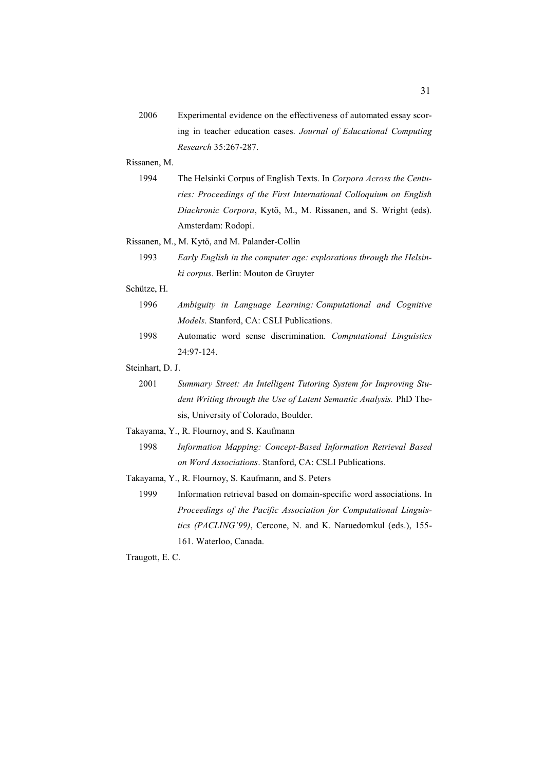2006 Experimental evidence on the effectiveness of automated essay scoring in teacher education cases. *Journal of Educational Computing Research* 35:267-287.

## Rissanen, M.

- 1994 The Helsinki Corpus of English Texts. In *Corpora Across the Centuries: Proceedings of the First International Colloquium on English Diachronic Corpora*, Kytö, M., M. Rissanen, and S. Wright (eds). Amsterdam: Rodopi.
- Rissanen, M., M. Kytö, and M. Palander-Collin
	- 1993 *Early English in the computer age: explorations through the Helsinki corpus*. Berlin: Mouton de Gruyter

## Schütze, H.

- 1996 *Ambiguity in Language Learning: Computational and Cognitive Models*. Stanford, CA: CSLI Publications.
- 1998 Automatic word sense discrimination. *Computational Linguistics*  24:97-124.
- Steinhart, D. J.
	- 2001 *Summary Street: An Intelligent Tutoring System for Improving Student Writing through the Use of Latent Semantic Analysis.* PhD Thesis, University of Colorado, Boulder.
- Takayama, Y., R. Flournoy, and S. Kaufmann
	- 1998 *Information Mapping: Concept-Based Information Retrieval Based on Word Associations*. Stanford, CA: CSLI Publications.
- Takayama, Y., R. Flournoy, S. Kaufmann, and S. Peters
	- 1999 Information retrieval based on domain-specific word associations. In *Proceedings of the Pacific Association for Computational Linguistics (PACLING'99)*, Cercone, N. and K. Naruedomkul (eds.), 155- 161. Waterloo, Canada.

Traugott, E. C.